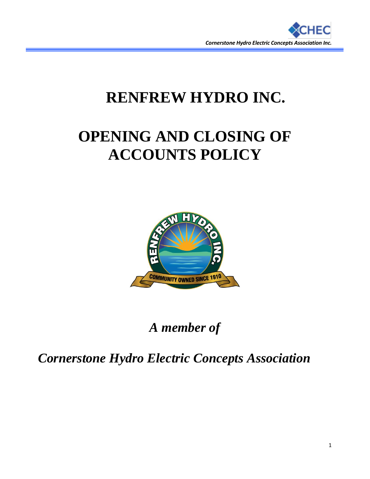

## **RENFREW HYDRO INC.**

# **OPENING AND CLOSING OF ACCOUNTS POLICY**



### *A member of*

*Cornerstone Hydro Electric Concepts Association*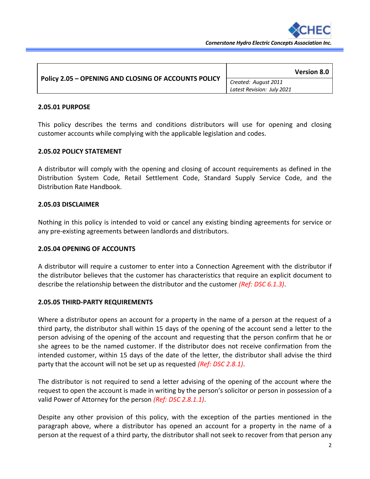

| Policy 2.05 - OPENING AND CLOSING OF ACCOUNTS POLICY | <b>Version 8.0</b>         |
|------------------------------------------------------|----------------------------|
|                                                      | Created: August 2011       |
|                                                      | Latest Revision: July 2021 |

#### **2.05.01 PURPOSE**

This policy describes the terms and conditions distributors will use for opening and closing customer accounts while complying with the applicable legislation and codes.

#### **2.05.02 POLICY STATEMENT**

A distributor will comply with the opening and closing of account requirements as defined in the Distribution System Code, Retail Settlement Code, Standard Supply Service Code, and the Distribution Rate Handbook.

#### **2.05.03 DISCLAIMER**

Nothing in this policy is intended to void or cancel any existing binding agreements for service or any pre-existing agreements between landlords and distributors.

#### **2.05.04 OPENING OF ACCOUNTS**

A distributor will require a customer to enter into a Connection Agreement with the distributor if the distributor believes that the customer has characteristics that require an explicit document to describe the relationship between the distributor and the customer *(Ref: DSC 6.1.3)*.

#### **2.05.05 THIRD-PARTY REQUIREMENTS**

Where a distributor opens an account for a property in the name of a person at the request of a third party, the distributor shall within 15 days of the opening of the account send a letter to the person advising of the opening of the account and requesting that the person confirm that he or she agrees to be the named customer. If the distributor does not receive confirmation from the intended customer, within 15 days of the date of the letter, the distributor shall advise the third party that the account will not be set up as requested *(Ref: DSC 2.8.1)*.

The distributor is not required to send a letter advising of the opening of the account where the request to open the account is made in writing by the person's solicitor or person in possession of a valid Power of Attorney for the person *(Ref: DSC 2.8.1.1)*.

Despite any other provision of this policy, with the exception of the parties mentioned in the paragraph above, where a distributor has opened an account for a property in the name of a person at the request of a third party, the distributor shall not seek to recover from that person any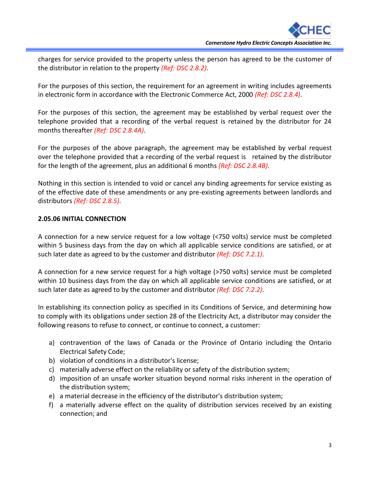charges for service provided to the property unless the person has agreed to be the customer of the distributor in relation to the property *(Ref: DSC 2.8.2)*.

For the purposes of this section, the requirement for an agreement in writing includes agreements in electronic form in accordance with the Electronic Commerce Act, 2000 *(Ref: DSC 2.8.4)*.

For the purposes of this section, the agreement may be established by verbal request over the telephone provided that a recording of the verbal request is retained by the distributor for 24 months thereafter *(Ref: DSC 2.8.4A)*.

For the purposes of the above paragraph, the agreement may be established by verbal request over the telephone provided that a recording of the verbal request is retained by the distributor for the length of the agreement, plus an additional 6 months *(Ref: DSC 2.8.4B)*.

Nothing in this section is intended to void or cancel any binding agreements for service existing as of the effective date of these amendments or any pre-existing agreements between landlords and distributors *(Ref: DSC 2.8.5)*.

#### **2.05.06 INITIAL CONNECTION**

A connection for a new service request for a low voltage (<750 volts) service must be completed within 5 business days from the day on which all applicable service conditions are satisfied, or at such later date as agreed to by the customer and distributor *(Ref: DSC 7.2.1)*.

A connection for a new service request for a high voltage (>750 volts) service must be completed within 10 business days from the day on which all applicable service conditions are satisfied, or at such later date as agreed to by the customer and distributor *(Ref: DSC 7.2.2)*.

In establishing its connection policy as specified in its Conditions of Service, and determining how to comply with its obligations under section 28 of the Electricity Act, a distributor may consider the following reasons to refuse to connect, or continue to connect, a customer:

- a) contravention of the laws of Canada or the Province of Ontario including the Ontario Electrical Safety Code;
- b) violation of conditions in a distributor's license;
- c) materially adverse effect on the reliability or safety of the distribution system;
- d) imposition of an unsafe worker situation beyond normal risks inherent in the operation of the distribution system;
- e) a material decrease in the efficiency of the distributor's distribution system;
- f) a materially adverse effect on the quality of distribution services received by an existing connection; and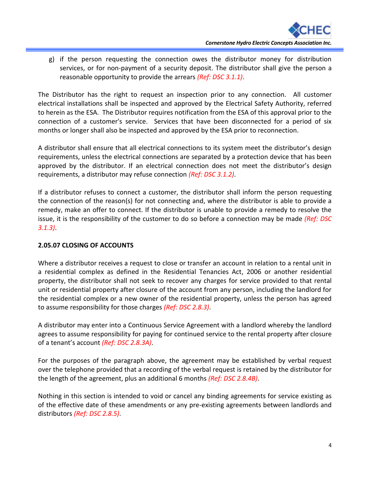g) if the person requesting the connection owes the distributor money for distribution services, or for non-payment of a security deposit. The distributor shall give the person a reasonable opportunity to provide the arrears *(Ref: DSC 3.1.1)*.

The Distributor has the right to request an inspection prior to any connection. All customer electrical installations shall be inspected and approved by the Electrical Safety Authority, referred to herein as the ESA. The Distributor requires notification from the ESA of this approval prior to the connection of a customer's service. Services that have been disconnected for a period of six months or longer shall also be inspected and approved by the ESA prior to reconnection.

A distributor shall ensure that all electrical connections to its system meet the distributor's design requirements, unless the electrical connections are separated by a protection device that has been approved by the distributor. If an electrical connection does not meet the distributor's design requirements, a distributor may refuse connection *(Ref: DSC 3.1.2)*.

If a distributor refuses to connect a customer, the distributor shall inform the person requesting the connection of the reason(s) for not connecting and, where the distributor is able to provide a remedy, make an offer to connect. If the distributor is unable to provide a remedy to resolve the issue, it is the responsibility of the customer to do so before a connection may be made *(Ref: DSC 3.1.3)*.

#### **2.05.07 CLOSING OF ACCOUNTS**

Where a distributor receives a request to close or transfer an account in relation to a rental unit in a residential complex as defined in the Residential Tenancies Act, 2006 or another residential property, the distributor shall not seek to recover any charges for service provided to that rental unit or residential property after closure of the account from any person, including the landlord for the residential complex or a new owner of the residential property, unless the person has agreed to assume responsibility for those charges *(Ref: DSC 2.8.3)*.

A distributor may enter into a Continuous Service Agreement with a landlord whereby the landlord agrees to assume responsibility for paying for continued service to the rental property after closure of a tenant's account *(Ref: DSC 2.8.3A)*.

For the purposes of the paragraph above, the agreement may be established by verbal request over the telephone provided that a recording of the verbal request is retained by the distributor for the length of the agreement, plus an additional 6 months *(Ref: DSC 2.8.4B)*.

Nothing in this section is intended to void or cancel any binding agreements for service existing as of the effective date of these amendments or any pre-existing agreements between landlords and distributors *(Ref: DSC 2.8.5)*.